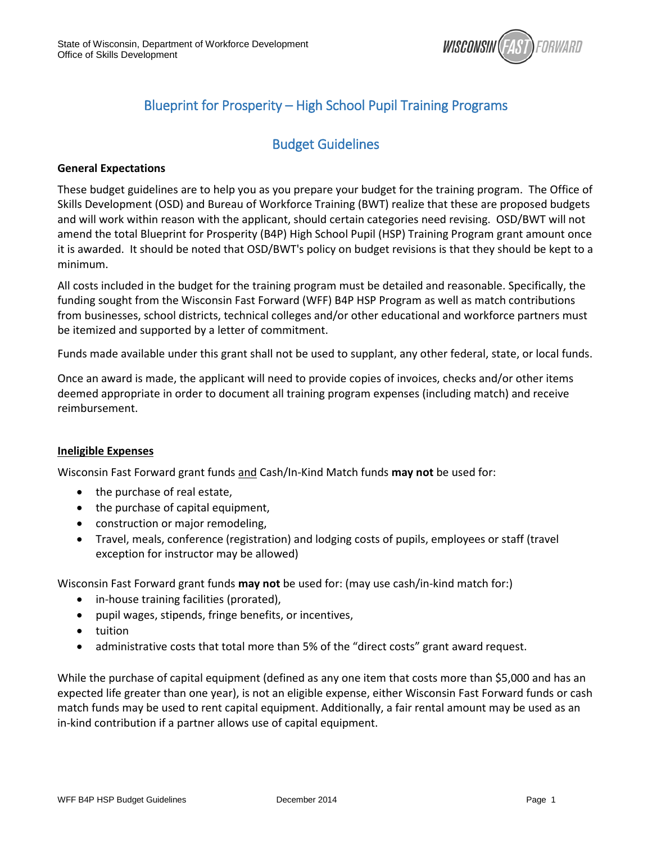

### Blueprint for Prosperity – High School Pupil Training Programs

### Budget Guidelines

#### **General Expectations**

These budget guidelines are to help you as you prepare your budget for the training program. The Office of Skills Development (OSD) and Bureau of Workforce Training (BWT) realize that these are proposed budgets and will work within reason with the applicant, should certain categories need revising. OSD/BWT will not amend the total Blueprint for Prosperity (B4P) High School Pupil (HSP) Training Program grant amount once it is awarded. It should be noted that OSD/BWT's policy on budget revisions is that they should be kept to a minimum.

All costs included in the budget for the training program must be detailed and reasonable. Specifically, the funding sought from the Wisconsin Fast Forward (WFF) B4P HSP Program as well as match contributions from businesses, school districts, technical colleges and/or other educational and workforce partners must be itemized and supported by a letter of commitment.

Funds made available under this grant shall not be used to supplant, any other federal, state, or local funds.

Once an award is made, the applicant will need to provide copies of invoices, checks and/or other items deemed appropriate in order to document all training program expenses (including match) and receive reimbursement.

#### **Ineligible Expenses**

Wisconsin Fast Forward grant funds and Cash/In-Kind Match funds **may not** be used for:

- the purchase of real estate,
- the purchase of capital equipment,
- construction or major remodeling,
- Travel, meals, conference (registration) and lodging costs of pupils, employees or staff (travel exception for instructor may be allowed)

Wisconsin Fast Forward grant funds **may not** be used for: (may use cash/in-kind match for:)

- in-house training facilities (prorated),
- pupil wages, stipends, fringe benefits, or incentives,
- tuition
- administrative costs that total more than 5% of the "direct costs" grant award request.

While the purchase of capital equipment (defined as any one item that costs more than \$5,000 and has an expected life greater than one year), is not an eligible expense, either Wisconsin Fast Forward funds or cash match funds may be used to rent capital equipment. Additionally, a fair rental amount may be used as an in-kind contribution if a partner allows use of capital equipment.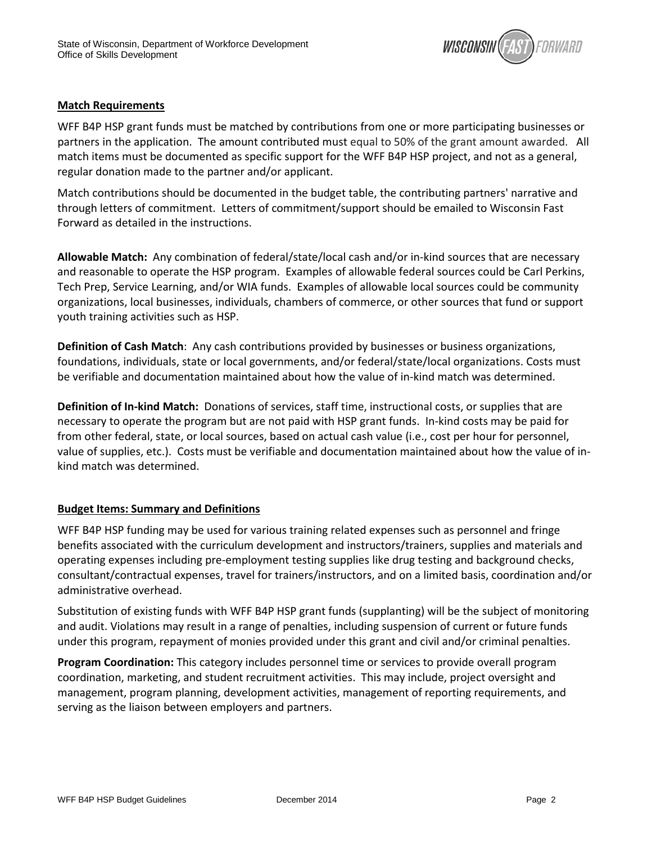

#### **Match Requirements**

WFF B4P HSP grant funds must be matched by contributions from one or more participating businesses or partners in the application.The amount contributed must equal to 50% of the grant amount awarded. All match items must be documented as specific support for the WFF B4P HSP project, and not as a general, regular donation made to the partner and/or applicant.

Match contributions should be documented in the budget table, the contributing partners' narrative and through letters of commitment. Letters of commitment/support should be emailed to Wisconsin Fast Forward as detailed in the instructions.

**Allowable Match:** Any combination of federal/state/local cash and/or in-kind sources that are necessary and reasonable to operate the HSP program. Examples of allowable federal sources could be Carl Perkins, Tech Prep, Service Learning, and/or WIA funds. Examples of allowable local sources could be community organizations, local businesses, individuals, chambers of commerce, or other sources that fund or support youth training activities such as HSP.

**Definition of Cash Match**: Any cash contributions provided by businesses or business organizations, foundations, individuals, state or local governments, and/or federal/state/local organizations. Costs must be verifiable and documentation maintained about how the value of in-kind match was determined.

**Definition of In-kind Match:** Donations of services, staff time, instructional costs, or supplies that are necessary to operate the program but are not paid with HSP grant funds. In-kind costs may be paid for from other federal, state, or local sources, based on actual cash value (i.e., cost per hour for personnel, value of supplies, etc.). Costs must be verifiable and documentation maintained about how the value of inkind match was determined.

#### **Budget Items: Summary and Definitions**

WFF B4P HSP funding may be used for various training related expenses such as personnel and fringe benefits associated with the curriculum development and instructors/trainers, supplies and materials and operating expenses including pre-employment testing supplies like drug testing and background checks, consultant/contractual expenses, travel for trainers/instructors, and on a limited basis, coordination and/or administrative overhead.

Substitution of existing funds with WFF B4P HSP grant funds (supplanting) will be the subject of monitoring and audit. Violations may result in a range of penalties, including suspension of current or future funds under this program, repayment of monies provided under this grant and civil and/or criminal penalties.

**Program Coordination:** This category includes personnel time or services to provide overall program coordination, marketing, and student recruitment activities. This may include, project oversight and management, program planning, development activities, management of reporting requirements, and serving as the liaison between employers and partners.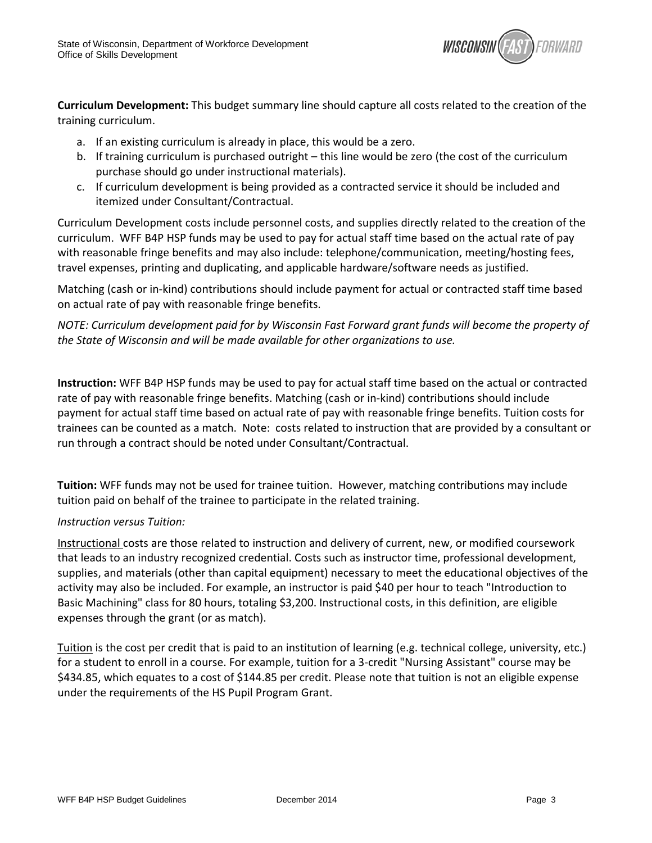

**Curriculum Development:** This budget summary line should capture all costs related to the creation of the training curriculum.

- a. If an existing curriculum is already in place, this would be a zero.
- b. If training curriculum is purchased outright this line would be zero (the cost of the curriculum purchase should go under instructional materials).
- c. If curriculum development is being provided as a contracted service it should be included and itemized under Consultant/Contractual.

Curriculum Development costs include personnel costs, and supplies directly related to the creation of the curriculum. WFF B4P HSP funds may be used to pay for actual staff time based on the actual rate of pay with reasonable fringe benefits and may also include: telephone/communication, meeting/hosting fees, travel expenses, printing and duplicating, and applicable hardware/software needs as justified.

Matching (cash or in-kind) contributions should include payment for actual or contracted staff time based on actual rate of pay with reasonable fringe benefits.

*NOTE: Curriculum development paid for by Wisconsin Fast Forward grant funds will become the property of the State of Wisconsin and will be made available for other organizations to use.* 

**Instruction:** WFF B4P HSP funds may be used to pay for actual staff time based on the actual or contracted rate of pay with reasonable fringe benefits. Matching (cash or in-kind) contributions should include payment for actual staff time based on actual rate of pay with reasonable fringe benefits. Tuition costs for trainees can be counted as a match. Note: costs related to instruction that are provided by a consultant or run through a contract should be noted under Consultant/Contractual.

**Tuition:** WFF funds may not be used for trainee tuition. However, matching contributions may include tuition paid on behalf of the trainee to participate in the related training.

#### *Instruction versus Tuition:*

Instructional costs are those related to instruction and delivery of current, new, or modified coursework that leads to an industry recognized credential. Costs such as instructor time, professional development, supplies, and materials (other than capital equipment) necessary to meet the educational objectives of the activity may also be included. For example, an instructor is paid \$40 per hour to teach "Introduction to Basic Machining" class for 80 hours, totaling \$3,200. Instructional costs, in this definition, are eligible expenses through the grant (or as match).

Tuition is the cost per credit that is paid to an institution of learning (e.g. technical college, university, etc.) for a student to enroll in a course. For example, tuition for a 3-credit "Nursing Assistant" course may be \$434.85, which equates to a cost of \$144.85 per credit. Please note that tuition is not an eligible expense under the requirements of the HS Pupil Program Grant.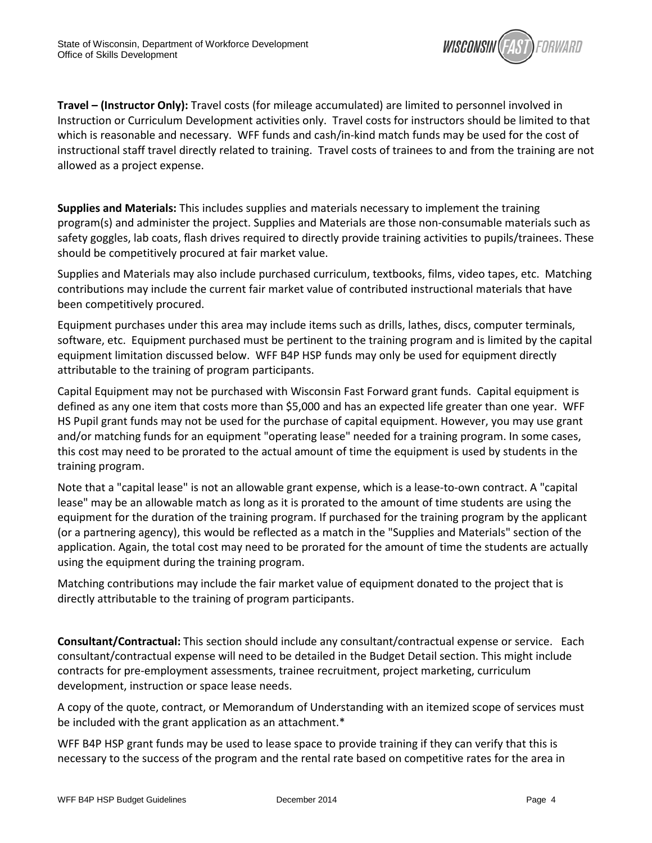

**Travel – (Instructor Only):** Travel costs (for mileage accumulated) are limited to personnel involved in Instruction or Curriculum Development activities only. Travel costs for instructors should be limited to that which is reasonable and necessary. WFF funds and cash/in-kind match funds may be used for the cost of instructional staff travel directly related to training. Travel costs of trainees to and from the training are not allowed as a project expense.

**Supplies and Materials:** This includes supplies and materials necessary to implement the training program(s) and administer the project. Supplies and Materials are those non-consumable materials such as safety goggles, lab coats, flash drives required to directly provide training activities to pupils/trainees. These should be competitively procured at fair market value.

Supplies and Materials may also include purchased curriculum, textbooks, films, video tapes, etc. Matching contributions may include the current fair market value of contributed instructional materials that have been competitively procured.

Equipment purchases under this area may include items such as drills, lathes, discs, computer terminals, software, etc. Equipment purchased must be pertinent to the training program and is limited by the capital equipment limitation discussed below. WFF B4P HSP funds may only be used for equipment directly attributable to the training of program participants.

Capital Equipment may not be purchased with Wisconsin Fast Forward grant funds. Capital equipment is defined as any one item that costs more than \$5,000 and has an expected life greater than one year. WFF HS Pupil grant funds may not be used for the purchase of capital equipment. However, you may use grant and/or matching funds for an equipment "operating lease" needed for a training program. In some cases, this cost may need to be prorated to the actual amount of time the equipment is used by students in the training program.

Note that a "capital lease" is not an allowable grant expense, which is a lease-to-own contract. A "capital lease" may be an allowable match as long as it is prorated to the amount of time students are using the equipment for the duration of the training program. If purchased for the training program by the applicant (or a partnering agency), this would be reflected as a match in the "Supplies and Materials" section of the application. Again, the total cost may need to be prorated for the amount of time the students are actually using the equipment during the training program.

Matching contributions may include the fair market value of equipment donated to the project that is directly attributable to the training of program participants.

**Consultant/Contractual:** This section should include any consultant/contractual expense or service. Each consultant/contractual expense will need to be detailed in the Budget Detail section. This might include contracts for pre-employment assessments, trainee recruitment, project marketing, curriculum development, instruction or space lease needs.

A copy of the quote, contract, or Memorandum of Understanding with an itemized scope of services must be included with the grant application as an attachment.\*

WFF B4P HSP grant funds may be used to lease space to provide training if they can verify that this is necessary to the success of the program and the rental rate based on competitive rates for the area in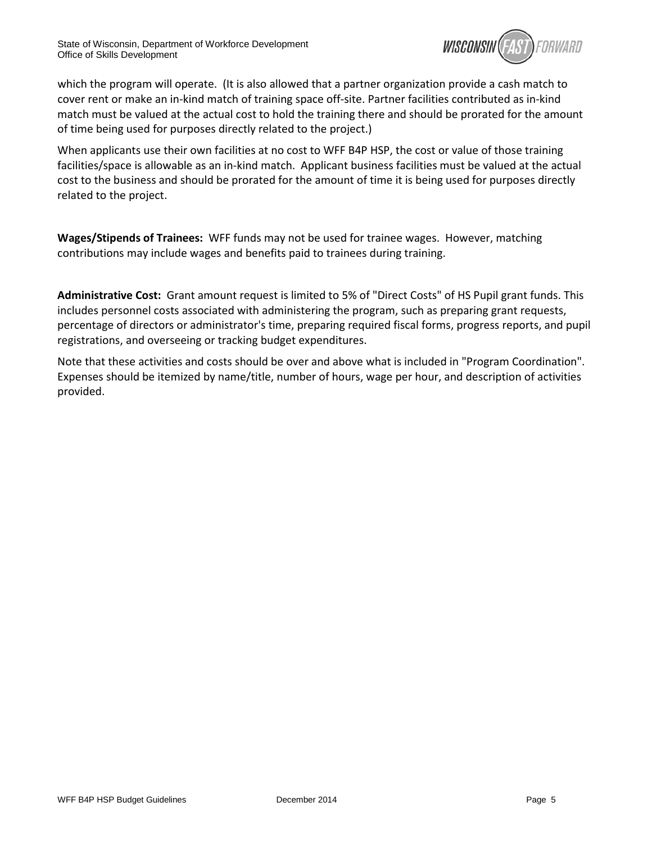

which the program will operate. (It is also allowed that a partner organization provide a cash match to cover rent or make an in-kind match of training space off-site. Partner facilities contributed as in-kind match must be valued at the actual cost to hold the training there and should be prorated for the amount of time being used for purposes directly related to the project.)

When applicants use their own facilities at no cost to WFF B4P HSP, the cost or value of those training facilities/space is allowable as an in-kind match. Applicant business facilities must be valued at the actual cost to the business and should be prorated for the amount of time it is being used for purposes directly related to the project.

**Wages/Stipends of Trainees:** WFF funds may not be used for trainee wages. However, matching contributions may include wages and benefits paid to trainees during training.

**Administrative Cost:** Grant amount request is limited to 5% of "Direct Costs" of HS Pupil grant funds. This includes personnel costs associated with administering the program, such as preparing grant requests, percentage of directors or administrator's time, preparing required fiscal forms, progress reports, and pupil registrations, and overseeing or tracking budget expenditures.

Note that these activities and costs should be over and above what is included in "Program Coordination". Expenses should be itemized by name/title, number of hours, wage per hour, and description of activities provided.